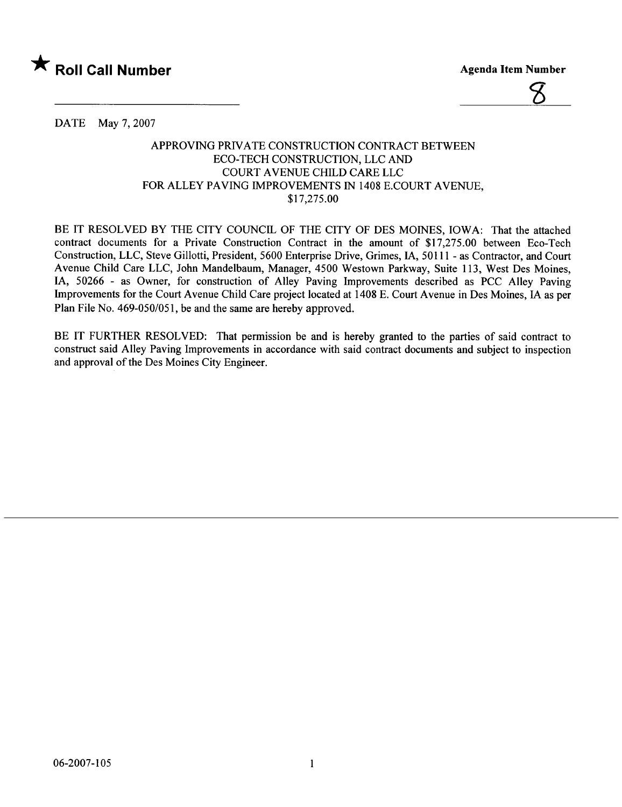



DATE May 7, 2007

## APPROVING PRIVATE CONSTRUCTION CONTRACT BETWEEN ECO-TECH CONSTRUCTION, LLC AND COURT A VENUE CHILD CARE LLC FOR ALLEY PAVING IMPROVEMENTS IN 1408 E.COURT AVENUE, \$17,275.00

BE IT RESOLVED BY THE CITY COUNCIL OF THE CITY OF DES MOINES, IOWA: That the attached contract documents for a Private Construction Contract in the amount of \$17,275.00 between Eco-Tech Construction, LLC, Steve Gilotti, President, 5600 Enterprise Drive, Grimes, lA, 50111 - as Contractor, and Court Avenue Child Care LLC, John Mandelbaum, Manager, 4500 Westown Parkway, Suite 113, West Des Moines, lA, 50266 - as Owner, for construction of Alley Paving Improvements described as PCC Alley Paving Improvements for the Court Avenue Child Care project located at 1408 E. Court Avenue in Des Moines, IA as per Plan File No. 469-050/051, be and the same are hereby approved.

BE IT FURTHER RESOLVED: That permission be and is hereby granted to the parties of said contract to construct said Alley Paving Improvements in accordance with said contract documents and subject to inspection and approval of the Des Moines City Engineer.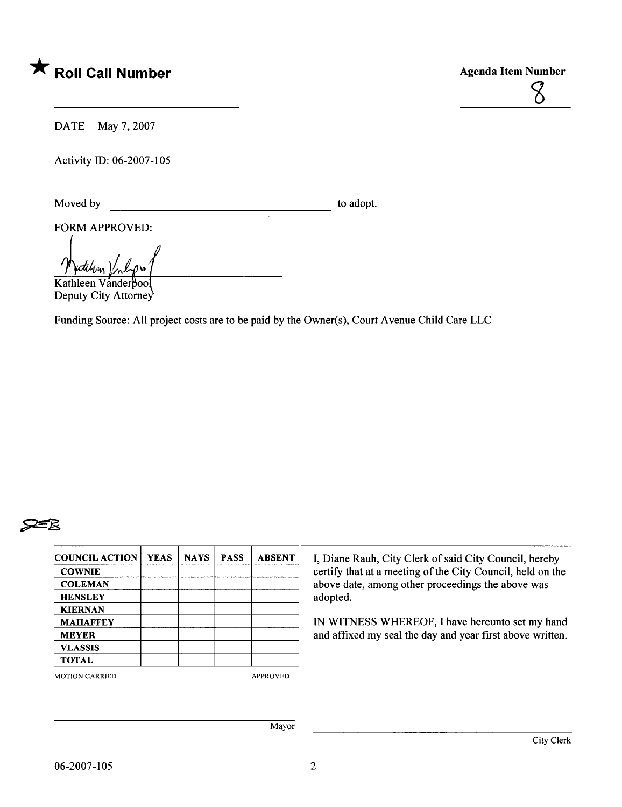

DATE May 7, 2007

Activity ID: 06-2007-105

Moved by to adopt.

FORM APPROVED:

Wertchen Vinliger<br>Kathleen Vanderpoo

Deputy City Attorney

Funding Source: All project costs are to be paid by the Owner(s), Court Avenue Child Care LLC

## $\geq 8$

| <b>COUNCIL ACTION</b> | YEAS | <b>NAYS</b> | <b>PASS</b> | <b>ABSENT</b>   | I, Diane Rauh, City    |
|-----------------------|------|-------------|-------------|-----------------|------------------------|
| <b>COWNIE</b>         |      |             |             |                 | certify that at a meet |
| <b>COLEMAN</b>        |      |             |             |                 | above date, among o    |
| <b>HENSLEY</b>        |      |             |             |                 | adopted.               |
| <b>KIERNAN</b>        |      |             |             |                 |                        |
| <b>MAHAFFEY</b>       |      |             |             | IN WITNESS WHE  |                        |
| <b>MEYER</b>          |      |             |             |                 | and affixed my seal    |
| <b>VLASSIS</b>        |      |             |             |                 |                        |
| <b>TOTAL</b>          |      |             |             |                 |                        |
| <b>MOTION CARRIED</b> |      |             |             | <b>APPROVED</b> |                        |

Clerk of said City Council, hereby ting of the City Council, held on the ther proceedings the above was

REOF, I have hereunto set my hand the day and year first above written.

Mayor